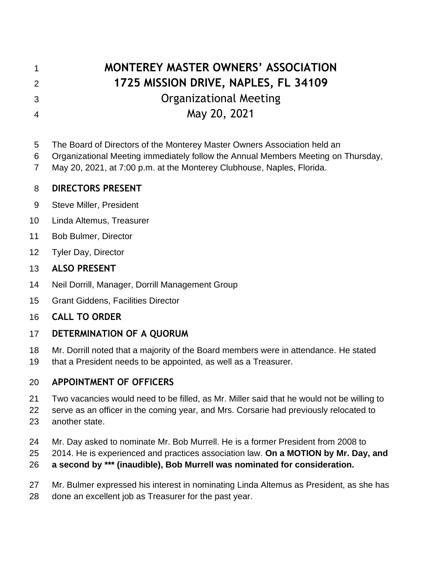# **MONTEREY MASTER OWNERS' ASSOCIATION 1725 MISSION DRIVE, NAPLES, FL 34109** Organizational Meeting

# May 20, 2021

- The Board of Directors of the Monterey Master Owners Association held an
- Organizational Meeting immediately follow the Annual Members Meeting on Thursday,
- May 20, 2021, at 7:00 p.m. at the Monterey Clubhouse, Naples, Florida.

#### **DIRECTORS PRESENT**

- Steve Miller, President
- Linda Altemus, Treasurer
- Bob Bulmer, Director
- Tyler Day, Director

#### **ALSO PRESENT**

- Neil Dorrill, Manager, Dorrill Management Group
- Grant Giddens, Facilities Director
- **CALL TO ORDER**

# **DETERMINATION OF A QUORUM**

- Mr. Dorrill noted that a majority of the Board members were in attendance. He stated
- that a President needs to be appointed, as well as a Treasurer.

# **APPOINTMENT OF OFFICERS**

- Two vacancies would need to be filled, as Mr. Miller said that he would not be willing to
- serve as an officer in the coming year, and Mrs. Corsarie had previously relocated to
- another state.
- Mr. Day asked to nominate Mr. Bob Murrell. He is a former President from 2008 to
- 2014. He is experienced and practices association law. **On a MOTION by Mr. Day, and**
- **a second by \*\*\* (inaudible), Bob Murrell was nominated for consideration.**
- Mr. Bulmer expressed his interest in nominating Linda Altemus as President, as she has
- done an excellent job as Treasurer for the past year.